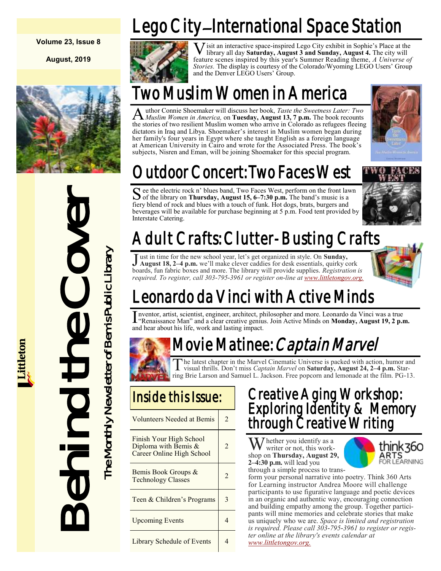#### **Volume 23, Issue 8**

**August, 2019**



# $\sum_{\substack{\text{for the left line} \\ \text{between } \text{all the x}} \\ \text{Intestate Center} \\ \text{Intestate Center} \\ \text{I, un it is available for the new school \\ \text{boundary, fin fabric boxes and more *real 303-78* } \\ \text{I, un it is true for the new school \\ \text{boundary, fin fabric boxes and more *real 303-78* } \\ \text{I, un it is true for the new school \\ \text{I, un right of the new school \\ \text{I, "Renais are the *real 303-78* } \\ \text{I, "Renais are the *real 303-78* } \\ \text{II, I, I, I, I, I$

*<u>ittleton</u>* 

Lego City–International Space Station



**V** isit an interactive space-inspired Lego City exhibit in Sophie's Place at the library all day **Saturday, August 3 and Sunday, August 4.** The city will feature scenes inspired by this year's Summer Reading theme, *A Uni* isit an interactive space-inspired Lego City exhibit in Sophie's Place at the library all day **Saturday, August 3 and Sunday, August 4.** The city will *Stories.* The display is courtesy of the Colorado/Wyoming LEGO Users' Group and the Denver LEGO Users' Group.

# Two Muslim Women in America

A uthor Connie Shoemaker will discuss her book, *Taste the Sweetness Later: Two Muslim Women in America*, on **Tuesday, August 13, 7 p.m.** The book recounts uthor Connie Shoemaker will discuss her book, *Taste the Sweetness Later: Two*  the stories of two resilient Muslim women who arrive in Colorado as refugees fleeing dictators in Iraq and Libya. Shoemaker's interest in Muslim women began during her family's four years in Egypt where she taught English as a foreign language at American University in Cairo and wrote for the Associated Press. The book's subjects, Nisren and Eman, will be joining Shoemaker for this special program.



# Outdoor Concert: Two Faces West

S ee the electric rock n' blues band, Two Faces West, perform on the front lawn<br>of the library on Thursday, August 15, 6–7:30 p.m. The band's music is a of the library on **Thursday, August 15, 6–7:30 p.m.** The band's music is a fiery blend of rock and blues with a touch of funk. Hot dogs, brats, burgers and beverages will be available for purchase beginning at 5 p.m. Food tent provided by Interstate Catering.



# Adult Crafts: Clutter-Busting Crafts

Just in time for the new school year, let's get organized in style. On **Sunday,**<br>August 18, 2–4 p.m. we'll make clever caddies for desk essentials, quirky cork ust in time for the new school year, let's get organized in style. On **Sunday,** boards, fun fabric boxes and more. The library will provide supplies. *Registration is*  required. To register, call 303-795-3961 or register on-line at [www.littletongov.org.](https://www.littletongov.org/city-services/city-departments/bemis-library/library-events-calendar/-curm-8/-cury-2019)



# Leonardo da Vinci with Active Minds

I nventor, artist, scientist, engineer, architect, philosopher and more. Leonardo da Vinci was a true<br>"Renaissance Man" and a clear creative genius. Join Active Minds on Monday, August 19, 2 p.r "Renaissance Man" and a clear creative genius. Join Active Minds on **Monday, August 19, 2 p.m.**  and hear about his life, work and lasting impact.

# Movie Matinee: *Captain Marvel*

The latest chapter in the Marvel Cinematic Universe is packed with action, humor and visual thrills. Don't miss *Captain Marvel* on **Saturday, August 24, 2–4 p.m.** Staring Brie Larson and Samuel L. Jackson. Free popcorn an he latest chapter in the Marvel Cinematic Universe is packed with action, humor and visual thrills. Don't miss *Captain Marvel* on **Saturday, August 24, 2–4 p.m.** Star-

Volunteers Needed at Bemis | 2 Finish Your High School Diploma with Bemis & Career Online High School 2 Bemis Book Groups &  $\frac{1}{2}$  Technology Classes Teen & Children's Programs  $\begin{array}{|c|c|} \hline 3 \\ \hline \end{array}$ Upcoming Events 14 Library Schedule of Events | 4

#### Creative Aging Workshop: Exploring Identity & Memory through Creative Writing

 $\sum$  hether you identify as a writer or not, this workshop on **Thursday, August 29, 2–4:30 p.m.** will lead you



through a simple process to transform your personal narrative into poetry. Think 360 Arts for Learning instructor Andrea Moore will challenge participants to use figurative language and poetic devices in an organic and authentic way, encouraging connection and building empathy among the group. Together participants will mine memories and celebrate stories that make us uniquely who we are. *Space is limited and registration is required. Please call 303-795-3961 to register or register online at the library's events calendar at [www.littletongov.org.](https://www.littletongov.org/city-services/city-departments/bemis-library/library-events-calendar/-curm-8/-cury-2019/-selcat-3)*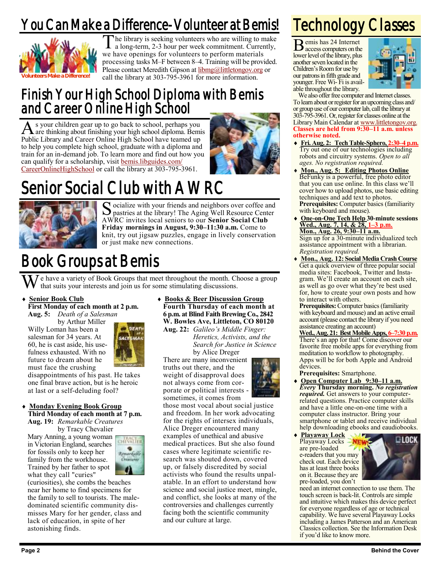# You Can Make a Difference-Volunteer at Bemis!



 $\overline{\mathrm{T}}$ he library is seeking volunteers who are willing to make a long-term, 2-3 hour per week commitment. Currently, we have openings for volunteers to perform materials processing tasks M–F between 8–4. Training will be provided. Please contact Meredith Gipson at **libmg@littletongov.org** or call the library at 303-795-3961 for more information.

#### Finish Your High School Diploma with Bemis and Career Online High School

As your children gear up to go back to school, perhaps you<br>are thinking about finishing your high school diploma. Bemis s your children gear up to go back to school, perhaps you Public Library and Career Online High School have teamed up to help you complete high school, graduate with a diploma and train for an in-demand job. To learn more and find out how you can qualify for a scholarship, visit [bemis.libguides.com/](https://bemis.libguides.com/CareerOnlineHighSchool) [CareerOnlineHighSchool](https://bemis.libguides.com/CareerOnlineHighSchool) or call the library at 303-795-3961.



# Senior Social Club with AWRC



Socialize with your friends and neighbors over coffee and<br>pastries at the library! The Aging Well Resource Center pastries at the library! The Aging Well Resource Center AWRC invites local seniors to our **Senior Social Club Friday mornings in August, 9:30–11:30 a.m.** Come to knit, try out jigsaw puzzles, engage in lively conservation or just make new connections.

# Book Groups at Bemis

e have a variety of Book Groups that meet throughout the month. Choose a group that suits your interests and join us for some stimulating discussions.

**MAA** 

- **Senior Book Club**
- **First Monday of each month at 2 p.m. Aug. 5:** *Death of a Salesman*

by Arthur Miller Willy Loman has been a salesman for 34 years. At 60, he is cast aside, his usefulness exhausted. With no future to dream about he must face the crushing

disappointments of his past. He takes one final brave action, but is he heroic at last or a self-deluding fool?

 **Monday Evening Book Group Third Monday of each month at 7 p.m. Aug. 19:** *Remarkable Creatures*

by Tracy Chevalier

Mary Anning, a young woman in Victorian England, searches for fossils only to keep her family from the workhouse. Trained by her father to spot what they call "curies"



(curiosities), she combs the beaches near her home to find specimens for the family to sell to tourists. The maledominated scientific community dismisses Mary for her gender, class and lack of education, in spite of her astonishing finds.

 **Books & Beer Discussion Group Fourth Thursday of each month at 6 p.m. at Blind Faith Brewing Co., 2842 W. Bowles Ave, Littleton, CO 80120 Aug. 22:** *Galileo's Middle Finger:*

*Heretics, Activists, and the Search for Justice in Science* by Alice Dreger

There are many inconvenient truths out there, and the weight of disapproval does not always come from corporate or political interests sometimes, it comes from



those most vocal about social justice and freedom. In her work advocating for the rights of intersex individuals, Alice Dreger encountered many examples of unethical and abusive medical practices. But she also found cases where legitimate scientific research was shouted down, covered up, or falsely discredited by social activists who found the results unpalatable. In an effort to understand how science and social justice meet, mingle, and conflict, she looks at many of the controversies and challenges currently facing both the scientific community and our culture at large.

# Technology Classes

B emis has 24 Internet access computers on the lower level of the library, plus another seven located in the Children's Room for use by our patrons in fifth grade and younger. Free Wi- Fi is available throughout the library.



We also offer free computer and Internet classes. To learn about or register for an upcoming class and/ or group use of our computer lab, call the library at 303-795-3961. Or, register for classes online at the Library Main Calendar at [www.littletongov.org.](https://www.littletongov.org/city-services/city-departments/bemis-library/library-events-calendar/-curm-7/-cury-2019/-selcat-157) **Classes are held from 9:30–11 a.m. unless otherwise noted.**

- **Fri. Aug. 2: Tech Table-Sphero, 2:30–4 p.m.** Try out one of our technologies including robots and circuitry systems. *Open to all ages. No registration required.*
- **Mon., Aug. 5: Editing Photos Online** BeFunky is a powerful, free photo editor that you can use online. In this class we'll cover how to upload photos, use basic editing techniques and add text to photos. **Prerequisites:** Computer basics (familiarity with keyboard and mouse).
- **One-on-One Tech Help 30-minute sessions Wed., Aug. 7, 14, & 28, 1–3 p.m. Mon., Aug. 26, 9:30–11 a.m.** Sign up for a 30-minute individualized tech assistance appointment with a librarian. *Registration required.*
- **Mon., Aug. 12: Social Media Crash Course**  Get a quick overview of three popular social media sites: Facebook, Twitter and Instagram. We'll create an account on each site, as well as go over what they're best used for, how to create your own posts and how to interact with others.

**Prerequisites:** Computer basics (familiarity with keyboard and mouse) and an active email account (please contact the library if you need assistance creating an account)

**Wed., Aug. 21: Best Mobile Apps, 6–7:30 p.m.** There's an app for that! Come discover our favorite free mobile apps for everything from meditation to workflow to photography. Apps will be for both Apple and Android devices.

- **Prerequisites:** Smartphone.
- **Open Computer Lab 9:30–11 a.m.** *Every* **Thursday morning.** *No registration required.* Get answers to your computerrelated questions. Practice computer skills and have a little one-on-one time with a computer class instructor. Bring your smartphone or tablet and receive individual help downloading ebooks and eaudiobooks.
- **Playaway Lock** Playaway Locks are pre-loaded e-readers that you may check out. Each device has at least three books on it. Because they are pre-loaded, you don't



need an internet connection to use them. The touch screen is back-lit. Controls are simple and intuitive which makes this device perfect for everyone regardless of age or technical capability. We have several Playaway Locks including a James Patterson and an American Classics collection. See the Information Desk if you'd like to know more.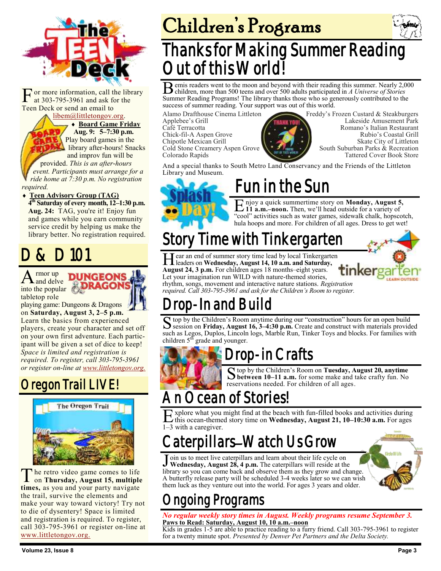

F or more information, call the at 303-795-3961 and ask for Teen Deck or send an email to or more information, call the library at 303-795-3961 and ask for the

[libem@littletongov.org.](mailto:libem@littletongov.org.)

 **Board Game Friday Aug. 9: 5–7:30 p.m.** Play board games in the library after-hours! Snacks and improv fun will be

provided. *This is an after-hours event. Participants must arrange for a ride home at 7:30 p.m. No registration required.*

 **Teen Advisory Group (TAG) 4 th Saturday of every month, 12–1:30 p.m. Aug. 24:** TAG, you're it! Enjoy fun and games while you earn community service credit by helping us make the library better. No registration required.

# D & D 101

 $A<sub>and delve</sub>$  into the popular rmor up and delve tabletop role



playing game: Dungeons & Dragons on **Saturday, August 3, 2–5 p.m.** 

Learn the basics from experienced players, create your character and set off on your own first adventure. Each participant will be given a set of dice to keep! *Space is limited and registration is required. To register, call 303-795-3961 or register on-line at [www.littletongov.org.](https://www.littletongov.org/city-services/city-departments/bemis-library/library-events-calendar/-curm-8/-cury-2019/-selcat-97)*

## Oregon Trail LIVE!



The retro video game comes to life<br>on Thursday, August 15, multiple<br>times, as you and your party navigate he retro video game comes to life on **Thursday, August 15, multiple**  the trail, survive the elements and make your way toward victory! Try not to die of dysentery! Space is limited and registration is required. To register, call 303-795-3961 or register on-line at [www.littletongov.org.](https://www.littletongov.org/city-services/city-departments/bemis-library/library-events-calendar/-curm-8/-cury-2019/-selcat-97)

# Children's Programs



# Thanks for Making Summer Reading Out of this World!

B emis readers went to the moon and beyond with their reading this summer. Nearly 2,000 children, more than 500 teens and over 500 adults participated in A Universe of Stories children, more than 500 teens and over 500 adults participated in *A Universe of Stories* Summer Reading Programs! The library thanks those who so generously contributed to the success of summer reading. Your support was out of this world.

Alamo Drafthouse Cinema Littleton Applebee's Grill Café Terracotta Chick-fil-A Aspen Grove Chipotle Mexican Grill Cold Stone Creamery Aspen Grove Colorado Rapids



Freddy's Frozen Custard & Steakburgers Lakeside Amusement Park Romano's Italian Restaurant Rubio's Coastal Grill Skate City of Littleton South Suburban Parks & Recreation Tattered Cover Book Store

And a special thanks to South Metro Land Conservancy and the Friends of the Littleton Library and Museum.



# Fun in the Sun

E njoy a quick summertime story on **Monday, August 5**<br>
11 **a.m.–noon.** Then, we'll head outside for a variety of njoy a quick summertime story on **Monday, August 5,** "cool" activities such as water games, sidewalk chalk, hopscotch, hula hoops and more. For children of all ages. Dress to get wet!

# Story Time with Tinkergarten

Hear an end of summer story time lead by local Tinkergan leaders on Wednesday, August 14, 10 a.m. and Saturda;<br>August 24, 3 p.m. For children ages 18 months–eight years. ear an end of summer story time lead by local Tinkergarten leaders on **Wednesday, August 14, 10 a.m. and Saturday,** Let your imagination run WILD with nature-themed stories, rhythm, songs, movement and interactive nature stations. *Registration* 

*required. Call 303-795-3961 and ask for the Children's Room to register.*

# Drop-In and Build

S top by the Children's Room anytime during our "construction" hours for an open build<br>Session on Friday, August 16, 3–4:30 p.m. Create and construct with materials provided  $\bf{C}$  top by the Children's Room anytime during our "construction" hours for an open build such as Legos, Duplos, Lincoln logs, Marble Run, Tinker Toys and blocks. For families with children  $5<sup>th</sup>$  grade and younger.



## rop-in Crafts

S top by the Children's Room on **Tuesday, August 20, anytime S between 10-11 a.m.** for some make and take crafty fun. No **between 10–11 a.m.** for some make and take crafty fun. No reservations needed. For children of all ages.

# cean of Stories!

E xplore what you<br>
1–3 with a caregiver. xplore what you might find at the beach with fun-filled books and activities during this ocean-themed story time on **Wednesday, August 21, 10–10:30 a.m.** For ages

# aterpillars–Watch Us Grow

Join us to meet live caterpillars and learn about their life cycle on **Wednesday, August 28, 4 p.m.** The caterpillars will reside at the library so you can come back and observe them as they grow and change. oin us to meet live caterpillars and learn about their life cycle on **Wednesday, August 28, 4 p.m.** The caterpillars will reside at the A butterfly release party will be scheduled 3-4 weeks later so we can wish them luck as they venture out into the world. For ages 3 years and older.



# ngoing Programs

*No regular weekly story times in August. Weekly programs resume September 3.* **Paws to Read: Saturday, August 10, 10 a.m.–noon**

Kids in grades 1-5 are able to practice reading to a furry friend. Call 303-795-3961 to register for a twenty minute spot. *Presented by Denver Pet Partners and the Delta Society.*